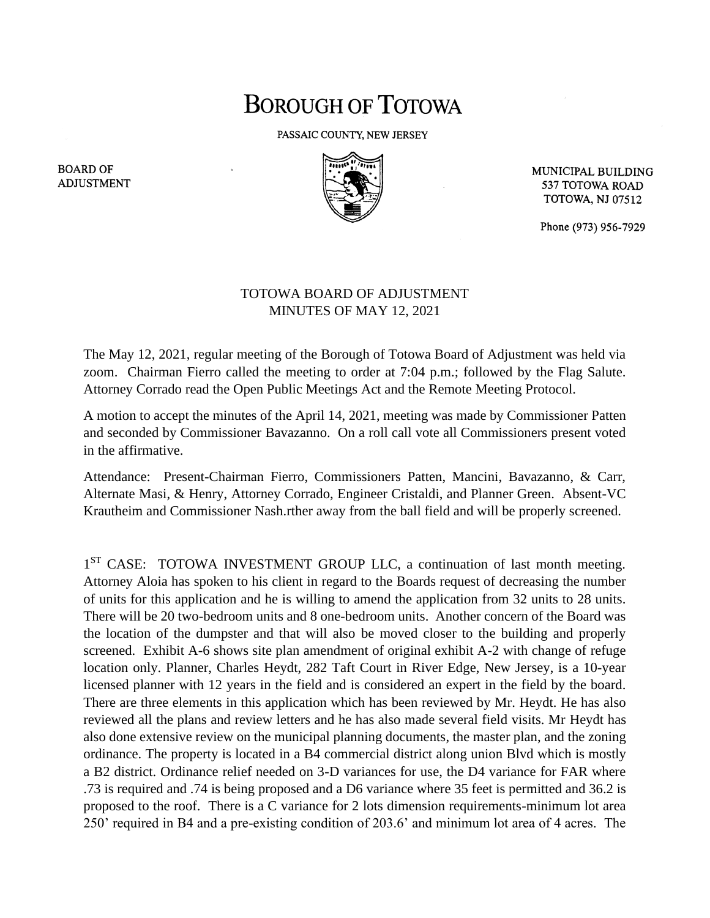## **BOROUGH OF TOTOWA**

PASSAIC COUNTY, NEW JERSEY



MUNICIPAL BUILDING 537 TOTOWA ROAD **TOTOWA, NJ 07512** 

Phone (973) 956-7929

## TOTOWA BOARD OF ADJUSTMENT MINUTES OF MAY 12, 2021

The May 12, 2021, regular meeting of the Borough of Totowa Board of Adjustment was held via zoom. Chairman Fierro called the meeting to order at 7:04 p.m.; followed by the Flag Salute. Attorney Corrado read the Open Public Meetings Act and the Remote Meeting Protocol.

A motion to accept the minutes of the April 14, 2021, meeting was made by Commissioner Patten and seconded by Commissioner Bavazanno. On a roll call vote all Commissioners present voted in the affirmative.

Attendance: Present-Chairman Fierro, Commissioners Patten, Mancini, Bavazanno, & Carr, Alternate Masi, & Henry, Attorney Corrado, Engineer Cristaldi, and Planner Green. Absent-VC Krautheim and Commissioner Nash.rther away from the ball field and will be properly screened.

1<sup>ST</sup> CASE: TOTOWA INVESTMENT GROUP LLC, a continuation of last month meeting. Attorney Aloia has spoken to his client in regard to the Boards request of decreasing the number of units for this application and he is willing to amend the application from 32 units to 28 units. There will be 20 two-bedroom units and 8 one-bedroom units. Another concern of the Board was the location of the dumpster and that will also be moved closer to the building and properly screened. Exhibit A-6 shows site plan amendment of original exhibit A-2 with change of refuge location only. Planner, Charles Heydt, 282 Taft Court in River Edge, New Jersey, is a 10-year licensed planner with 12 years in the field and is considered an expert in the field by the board. There are three elements in this application which has been reviewed by Mr. Heydt. He has also reviewed all the plans and review letters and he has also made several field visits. Mr Heydt has also done extensive review on the municipal planning documents, the master plan, and the zoning ordinance. The property is located in a B4 commercial district along union Blvd which is mostly a B2 district. Ordinance relief needed on 3-D variances for use, the D4 variance for FAR where .73 is required and .74 is being proposed and a D6 variance where 35 feet is permitted and 36.2 is proposed to the roof. There is a C variance for 2 lots dimension requirements-minimum lot area 250' required in B4 and a pre-existing condition of 203.6' and minimum lot area of 4 acres. The

**BOARD OF ADJUSTMENT**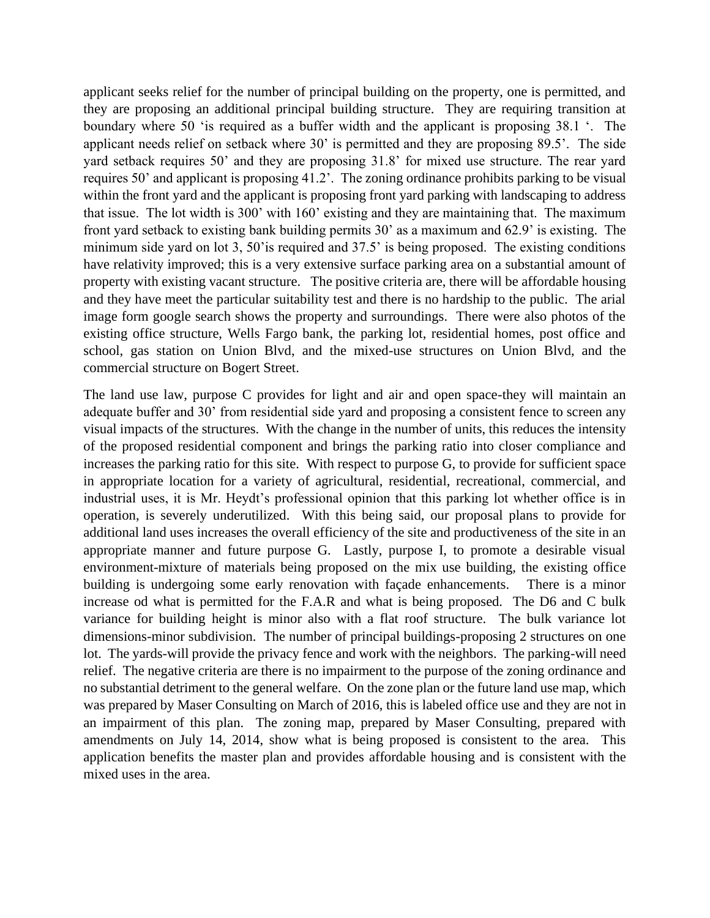applicant seeks relief for the number of principal building on the property, one is permitted, and they are proposing an additional principal building structure. They are requiring transition at boundary where 50 'is required as a buffer width and the applicant is proposing 38.1 '. The applicant needs relief on setback where 30' is permitted and they are proposing 89.5'. The side yard setback requires 50' and they are proposing 31.8' for mixed use structure. The rear yard requires 50' and applicant is proposing 41.2'. The zoning ordinance prohibits parking to be visual within the front yard and the applicant is proposing front yard parking with landscaping to address that issue. The lot width is 300' with 160' existing and they are maintaining that. The maximum front yard setback to existing bank building permits 30' as a maximum and 62.9' is existing. The minimum side yard on lot 3, 50'is required and 37.5' is being proposed. The existing conditions have relativity improved; this is a very extensive surface parking area on a substantial amount of property with existing vacant structure. The positive criteria are, there will be affordable housing and they have meet the particular suitability test and there is no hardship to the public. The arial image form google search shows the property and surroundings. There were also photos of the existing office structure, Wells Fargo bank, the parking lot, residential homes, post office and school, gas station on Union Blvd, and the mixed-use structures on Union Blvd, and the commercial structure on Bogert Street.

The land use law, purpose C provides for light and air and open space-they will maintain an adequate buffer and 30' from residential side yard and proposing a consistent fence to screen any visual impacts of the structures. With the change in the number of units, this reduces the intensity of the proposed residential component and brings the parking ratio into closer compliance and increases the parking ratio for this site. With respect to purpose G, to provide for sufficient space in appropriate location for a variety of agricultural, residential, recreational, commercial, and industrial uses, it is Mr. Heydt's professional opinion that this parking lot whether office is in operation, is severely underutilized. With this being said, our proposal plans to provide for additional land uses increases the overall efficiency of the site and productiveness of the site in an appropriate manner and future purpose G. Lastly, purpose I, to promote a desirable visual environment-mixture of materials being proposed on the mix use building, the existing office building is undergoing some early renovation with façade enhancements. There is a minor increase od what is permitted for the F.A.R and what is being proposed. The D6 and C bulk variance for building height is minor also with a flat roof structure. The bulk variance lot dimensions-minor subdivision. The number of principal buildings-proposing 2 structures on one lot. The yards-will provide the privacy fence and work with the neighbors. The parking-will need relief. The negative criteria are there is no impairment to the purpose of the zoning ordinance and no substantial detriment to the general welfare. On the zone plan or the future land use map, which was prepared by Maser Consulting on March of 2016, this is labeled office use and they are not in an impairment of this plan. The zoning map, prepared by Maser Consulting, prepared with amendments on July 14, 2014, show what is being proposed is consistent to the area. This application benefits the master plan and provides affordable housing and is consistent with the mixed uses in the area.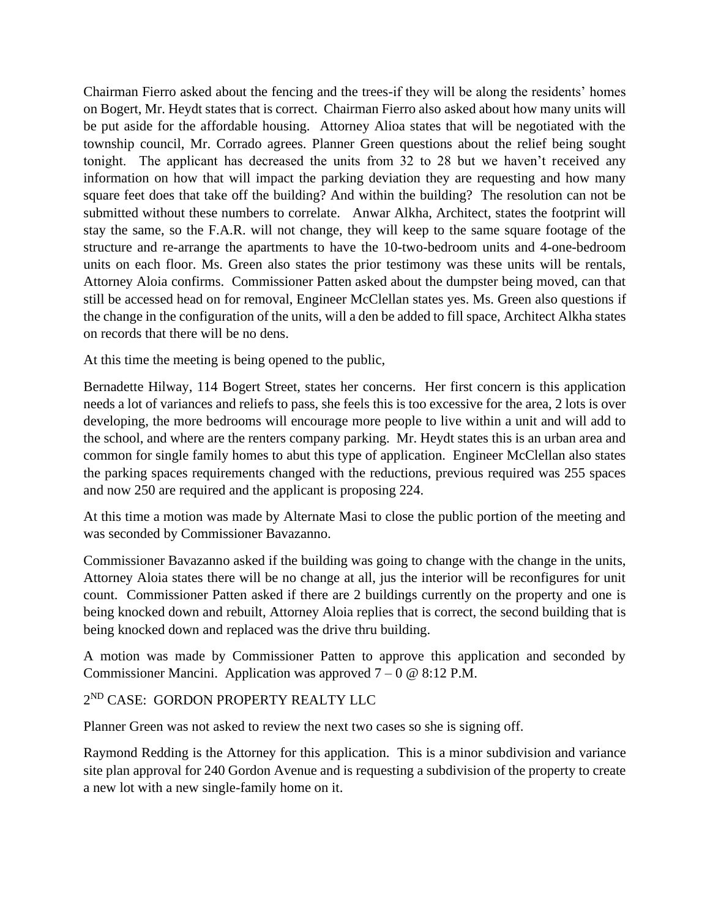Chairman Fierro asked about the fencing and the trees-if they will be along the residents' homes on Bogert, Mr. Heydt states that is correct. Chairman Fierro also asked about how many units will be put aside for the affordable housing. Attorney Alioa states that will be negotiated with the township council, Mr. Corrado agrees. Planner Green questions about the relief being sought tonight. The applicant has decreased the units from 32 to 28 but we haven't received any information on how that will impact the parking deviation they are requesting and how many square feet does that take off the building? And within the building? The resolution can not be submitted without these numbers to correlate. Anwar Alkha, Architect, states the footprint will stay the same, so the F.A.R. will not change, they will keep to the same square footage of the structure and re-arrange the apartments to have the 10-two-bedroom units and 4-one-bedroom units on each floor. Ms. Green also states the prior testimony was these units will be rentals, Attorney Aloia confirms. Commissioner Patten asked about the dumpster being moved, can that still be accessed head on for removal, Engineer McClellan states yes. Ms. Green also questions if the change in the configuration of the units, will a den be added to fill space, Architect Alkha states on records that there will be no dens.

At this time the meeting is being opened to the public,

Bernadette Hilway, 114 Bogert Street, states her concerns. Her first concern is this application needs a lot of variances and reliefs to pass, she feels this is too excessive for the area, 2 lots is over developing, the more bedrooms will encourage more people to live within a unit and will add to the school, and where are the renters company parking. Mr. Heydt states this is an urban area and common for single family homes to abut this type of application. Engineer McClellan also states the parking spaces requirements changed with the reductions, previous required was 255 spaces and now 250 are required and the applicant is proposing 224.

At this time a motion was made by Alternate Masi to close the public portion of the meeting and was seconded by Commissioner Bavazanno.

Commissioner Bavazanno asked if the building was going to change with the change in the units, Attorney Aloia states there will be no change at all, jus the interior will be reconfigures for unit count. Commissioner Patten asked if there are 2 buildings currently on the property and one is being knocked down and rebuilt, Attorney Aloia replies that is correct, the second building that is being knocked down and replaced was the drive thru building.

A motion was made by Commissioner Patten to approve this application and seconded by Commissioner Mancini. Application was approved  $7 - 0 \omega$  8:12 P.M.

## 2 ND CASE: GORDON PROPERTY REALTY LLC

Planner Green was not asked to review the next two cases so she is signing off.

Raymond Redding is the Attorney for this application. This is a minor subdivision and variance site plan approval for 240 Gordon Avenue and is requesting a subdivision of the property to create a new lot with a new single-family home on it.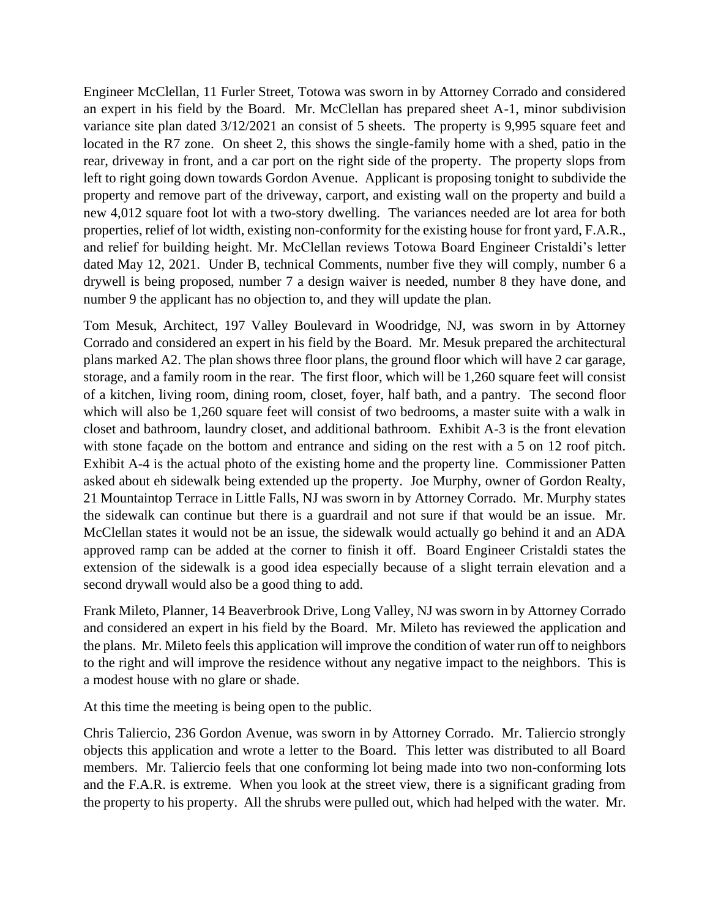Engineer McClellan, 11 Furler Street, Totowa was sworn in by Attorney Corrado and considered an expert in his field by the Board. Mr. McClellan has prepared sheet A-1, minor subdivision variance site plan dated 3/12/2021 an consist of 5 sheets. The property is 9,995 square feet and located in the R7 zone. On sheet 2, this shows the single-family home with a shed, patio in the rear, driveway in front, and a car port on the right side of the property. The property slops from left to right going down towards Gordon Avenue. Applicant is proposing tonight to subdivide the property and remove part of the driveway, carport, and existing wall on the property and build a new 4,012 square foot lot with a two-story dwelling. The variances needed are lot area for both properties, relief of lot width, existing non-conformity for the existing house for front yard, F.A.R., and relief for building height. Mr. McClellan reviews Totowa Board Engineer Cristaldi's letter dated May 12, 2021. Under B, technical Comments, number five they will comply, number 6 a drywell is being proposed, number 7 a design waiver is needed, number 8 they have done, and number 9 the applicant has no objection to, and they will update the plan.

Tom Mesuk, Architect, 197 Valley Boulevard in Woodridge, NJ, was sworn in by Attorney Corrado and considered an expert in his field by the Board. Mr. Mesuk prepared the architectural plans marked A2. The plan shows three floor plans, the ground floor which will have 2 car garage, storage, and a family room in the rear. The first floor, which will be 1,260 square feet will consist of a kitchen, living room, dining room, closet, foyer, half bath, and a pantry. The second floor which will also be 1,260 square feet will consist of two bedrooms, a master suite with a walk in closet and bathroom, laundry closet, and additional bathroom. Exhibit A-3 is the front elevation with stone façade on the bottom and entrance and siding on the rest with a 5 on 12 roof pitch. Exhibit A-4 is the actual photo of the existing home and the property line. Commissioner Patten asked about eh sidewalk being extended up the property. Joe Murphy, owner of Gordon Realty, 21 Mountaintop Terrace in Little Falls, NJ was sworn in by Attorney Corrado. Mr. Murphy states the sidewalk can continue but there is a guardrail and not sure if that would be an issue. Mr. McClellan states it would not be an issue, the sidewalk would actually go behind it and an ADA approved ramp can be added at the corner to finish it off. Board Engineer Cristaldi states the extension of the sidewalk is a good idea especially because of a slight terrain elevation and a second drywall would also be a good thing to add.

Frank Mileto, Planner, 14 Beaverbrook Drive, Long Valley, NJ was sworn in by Attorney Corrado and considered an expert in his field by the Board. Mr. Mileto has reviewed the application and the plans. Mr. Mileto feels this application will improve the condition of water run off to neighbors to the right and will improve the residence without any negative impact to the neighbors. This is a modest house with no glare or shade.

At this time the meeting is being open to the public.

Chris Taliercio, 236 Gordon Avenue, was sworn in by Attorney Corrado. Mr. Taliercio strongly objects this application and wrote a letter to the Board. This letter was distributed to all Board members. Mr. Taliercio feels that one conforming lot being made into two non-conforming lots and the F.A.R. is extreme. When you look at the street view, there is a significant grading from the property to his property. All the shrubs were pulled out, which had helped with the water. Mr.